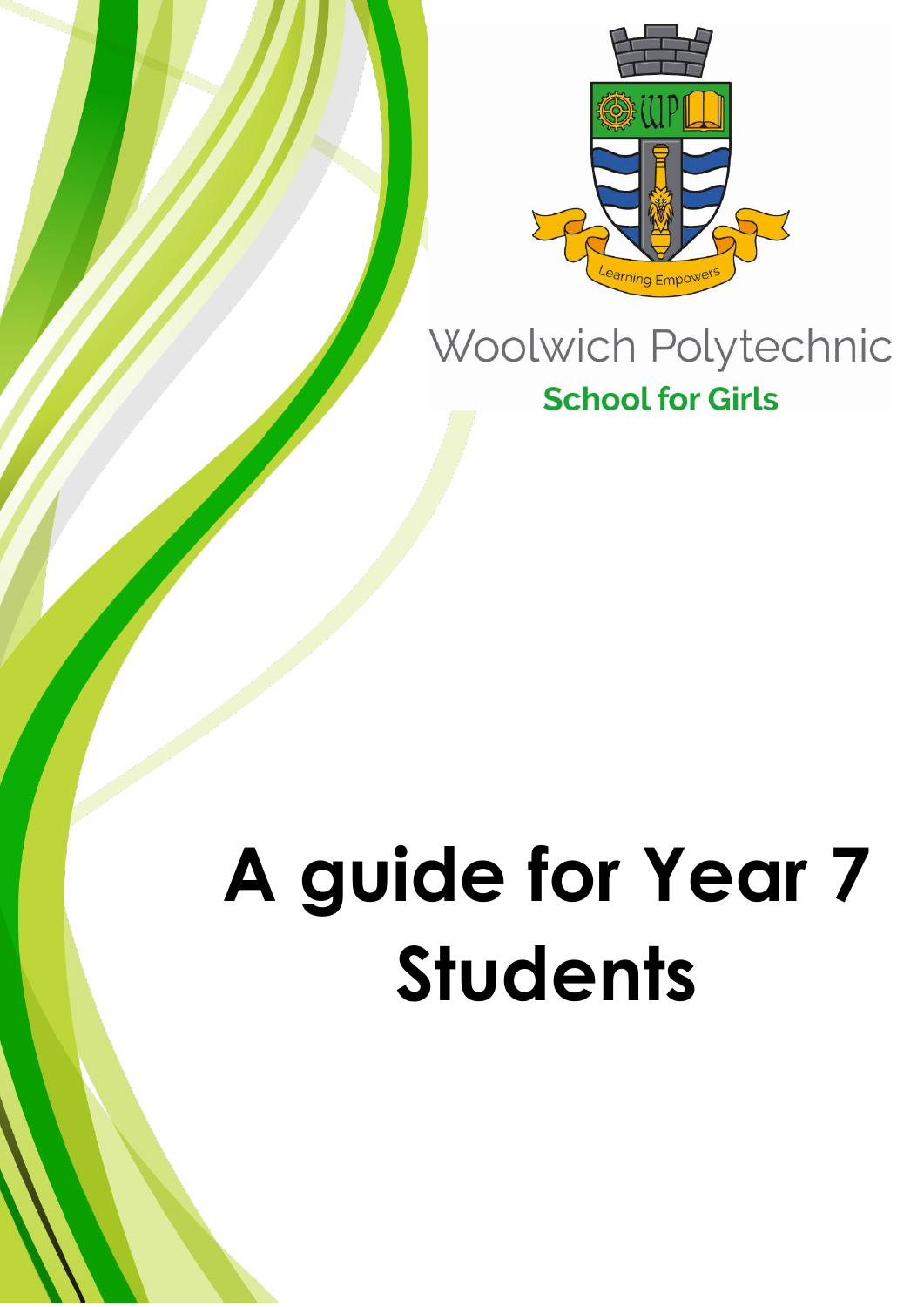

## Woolwich Polytechnic **School for Girls**

# **A guide for Year 7 Students**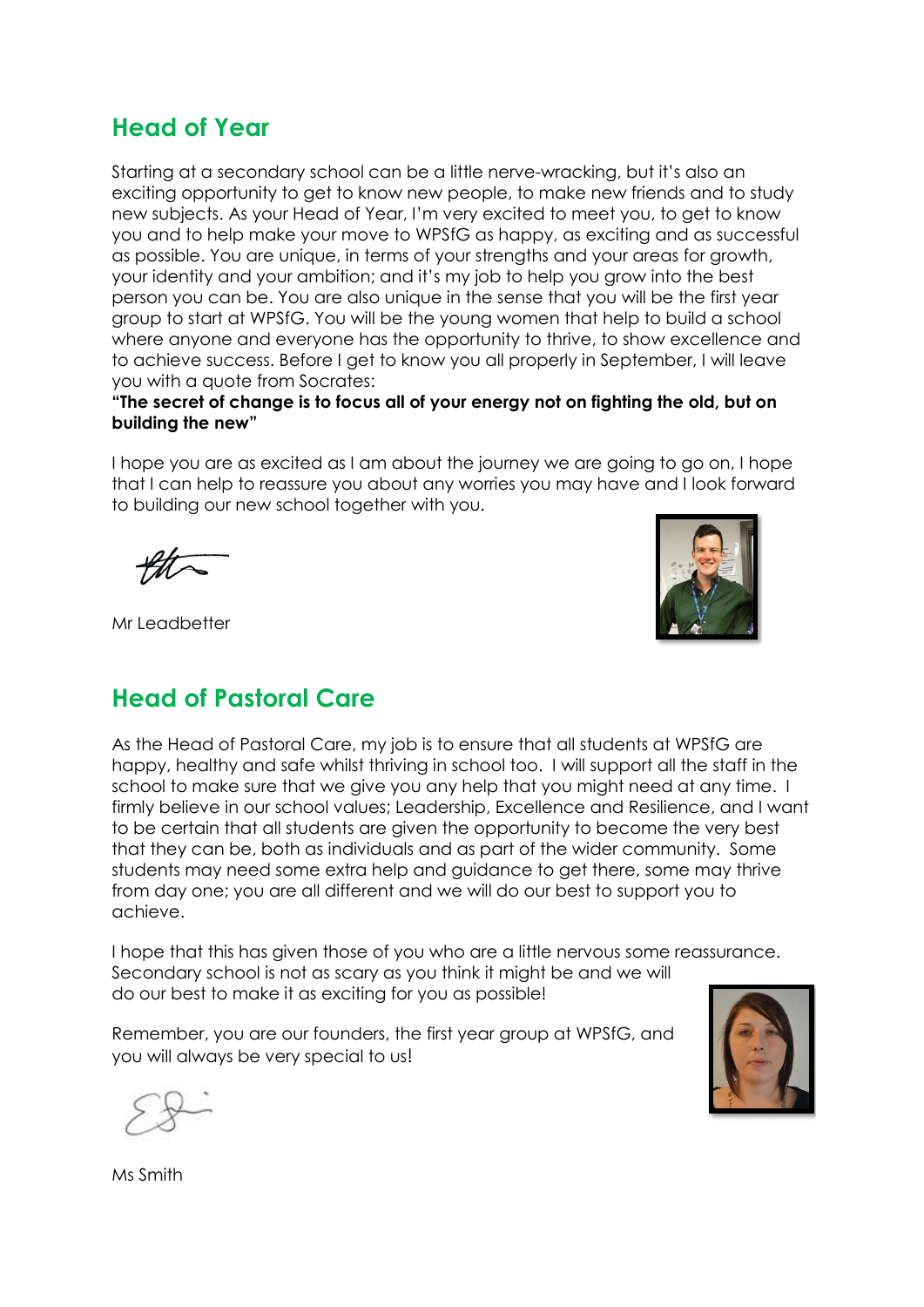## **Head of Year**

Starting at a secondary school can be a little nerve-wracking, but it's also an exciting opportunity to get to know new people, to make new friends and to study new subjects. As your Head of Year, I'm very excited to meet you, to get to know you and to help make your move to WPSfG as happy, as exciting and as successful as possible. You are unique, in terms of your strengths and your areas for growth, your identity and your ambition; and it's my job to help you grow into the best person you can be. You are also unique in the sense that you will be the first year group to start at WPSfG. You will be the young women that help to build a school where anyone and everyone has the opportunity to thrive, to show excellence and to achieve success. Before I get to know you all properly in September, I will leave you with a quote from Socrates:

#### **"The secret of change is to focus all of your energy not on fighting the old, but on building the new"**

I hope you are as excited as I am about the journey we are going to go on, I hope that I can help to reassure you about any worries you may have and I look forward to building our new school together with you.

Mr Leadbetter

## **Head of Pastoral Care**

As the Head of Pastoral Care, my job is to ensure that all students at WPSfG are happy, healthy and safe whilst thriving in school too. I will support all the staff in the school to make sure that we give you any help that you might need at any time. I firmly believe in our school values; Leadership, Excellence and Resilience, and I want to be certain that all students are given the opportunity to become the very best that they can be, both as individuals and as part of the wider community. Some students may need some extra help and guidance to get there, some may thrive from day one; you are all different and we will do our best to support you to achieve.

I hope that this has given those of you who are a little nervous some reassurance. Secondary school is not as scary as you think it might be and we will do our best to make it as exciting for you as possible!

Remember, you are our founders, the first year group at WPSfG, and you will always be very special to us!



Ms Smith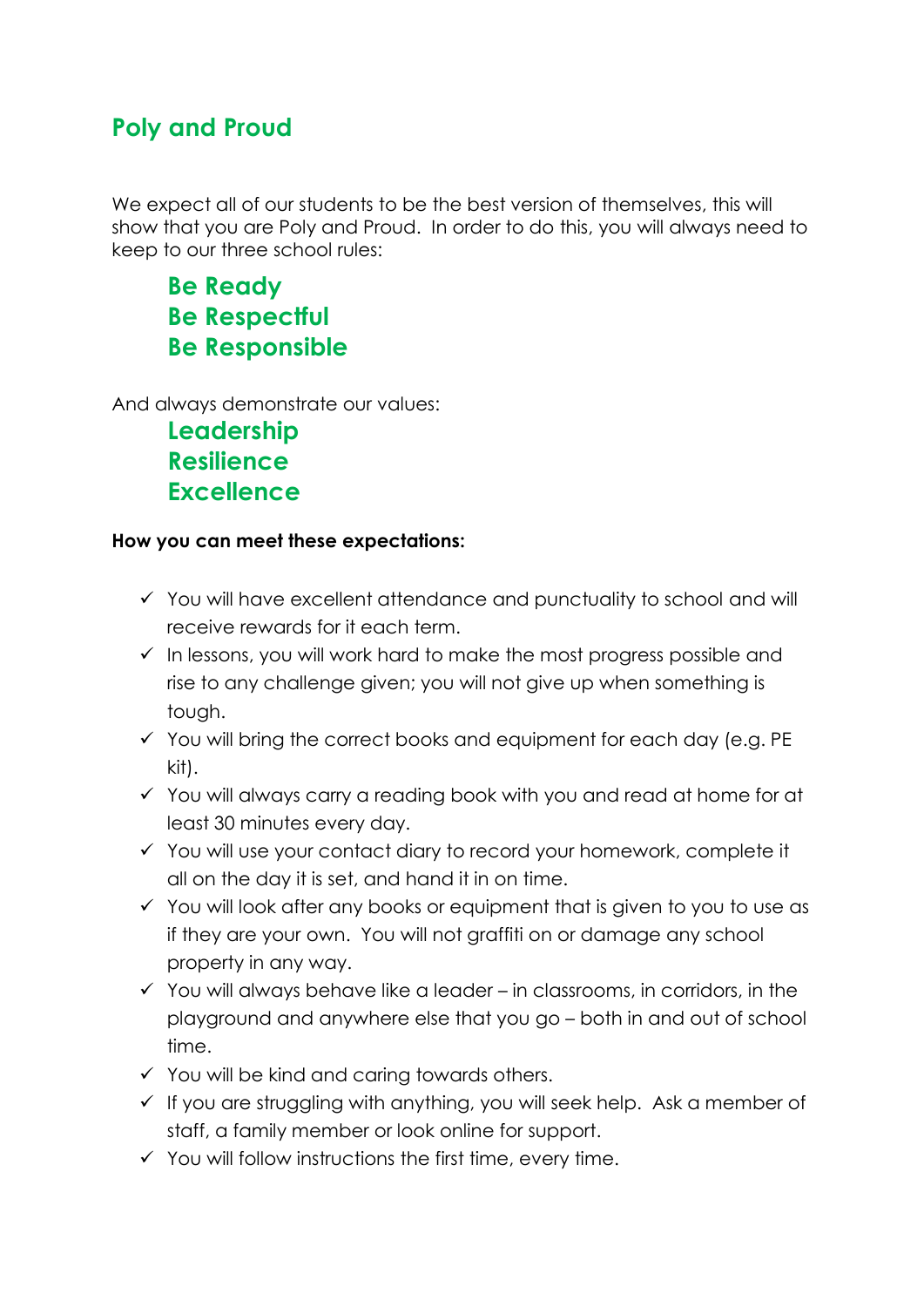## **Poly and Proud**

We expect all of our students to be the best version of themselves, this will show that you are Poly and Proud. In order to do this, you will always need to keep to our three school rules:

**Be Ready Be Respectful Be Responsible**

And always demonstrate our values:

**Leadership Resilience Excellence**

#### **How you can meet these expectations:**

- ✓ You will have excellent attendance and punctuality to school and will receive rewards for it each term.
- ✓ In lessons, you will work hard to make the most progress possible and rise to any challenge given; you will not give up when something is tough.
- $\checkmark$  You will bring the correct books and equipment for each day (e.g. PE) kit).
- ✓ You will always carry a reading book with you and read at home for at least 30 minutes every day.
- ✓ You will use your contact diary to record your homework, complete it all on the day it is set, and hand it in on time.
- ✓ You will look after any books or equipment that is given to you to use as if they are your own. You will not graffiti on or damage any school property in any way.
- $\checkmark$  You will always behave like a leader in classrooms, in corridors, in the playground and anywhere else that you go – both in and out of school time.
- $\checkmark$  You will be kind and caring towards others.
- $\checkmark$  If you are struggling with anything, you will seek help. Ask a member of staff, a family member or look online for support.
- $\checkmark$  You will follow instructions the first time, every time.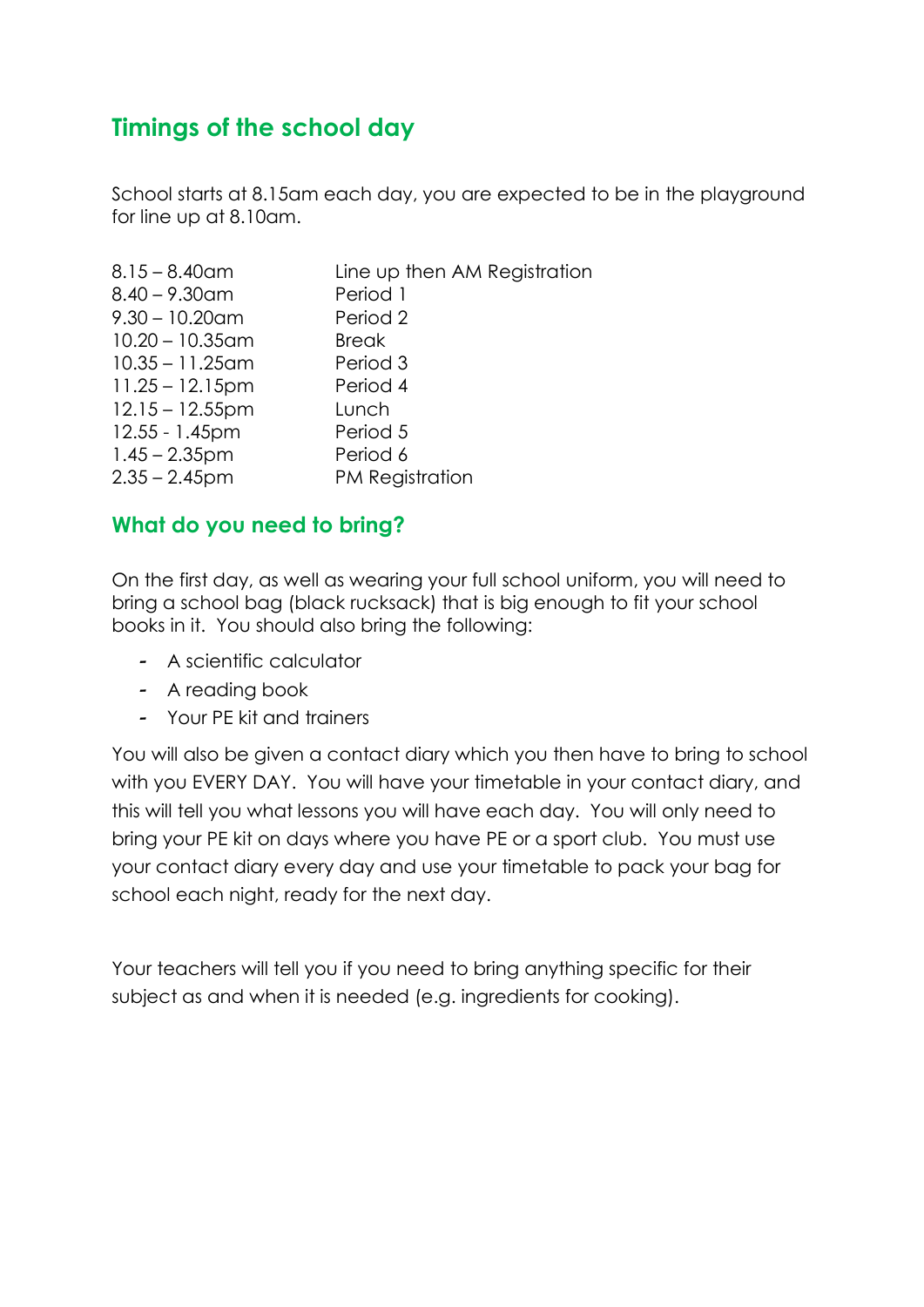## **Timings of the school day**

School starts at 8.15am each day, you are expected to be in the playground for line up at 8.10am.

| $8.15 - 8.40$ am   | Line up then AM Registration |
|--------------------|------------------------------|
| $8.40 - 9.30$ am   | Period 1                     |
| $9.30 - 10.20$ am  | Period 2                     |
| $10.20 - 10.35$ am | <b>Break</b>                 |
| $10.35 - 11.25$ am | Period 3                     |
| $11.25 - 12.15$ pm | Period 4                     |
| $12.15 - 12.55$ pm | Lunch                        |
| 12.55 - 1.45pm     | Period 5                     |
| $1.45 - 2.35$ pm   | Period 6                     |
| $2.35 - 2.45$ pm   | PM Registration              |
|                    |                              |

### **What do you need to bring?**

On the first day, as well as wearing your full school uniform, you will need to bring a school bag (black rucksack) that is big enough to fit your school books in it. You should also bring the following:

- A scientific calculator
- A reading book
- Your PE kit and trainers

You will also be given a contact diary which you then have to bring to school with you EVERY DAY. You will have your timetable in your contact diary, and this will tell you what lessons you will have each day. You will only need to bring your PE kit on days where you have PE or a sport club. You must use your contact diary every day and use your timetable to pack your bag for school each night, ready for the next day.

Your teachers will tell you if you need to bring anything specific for their subject as and when it is needed (e.g. ingredients for cooking).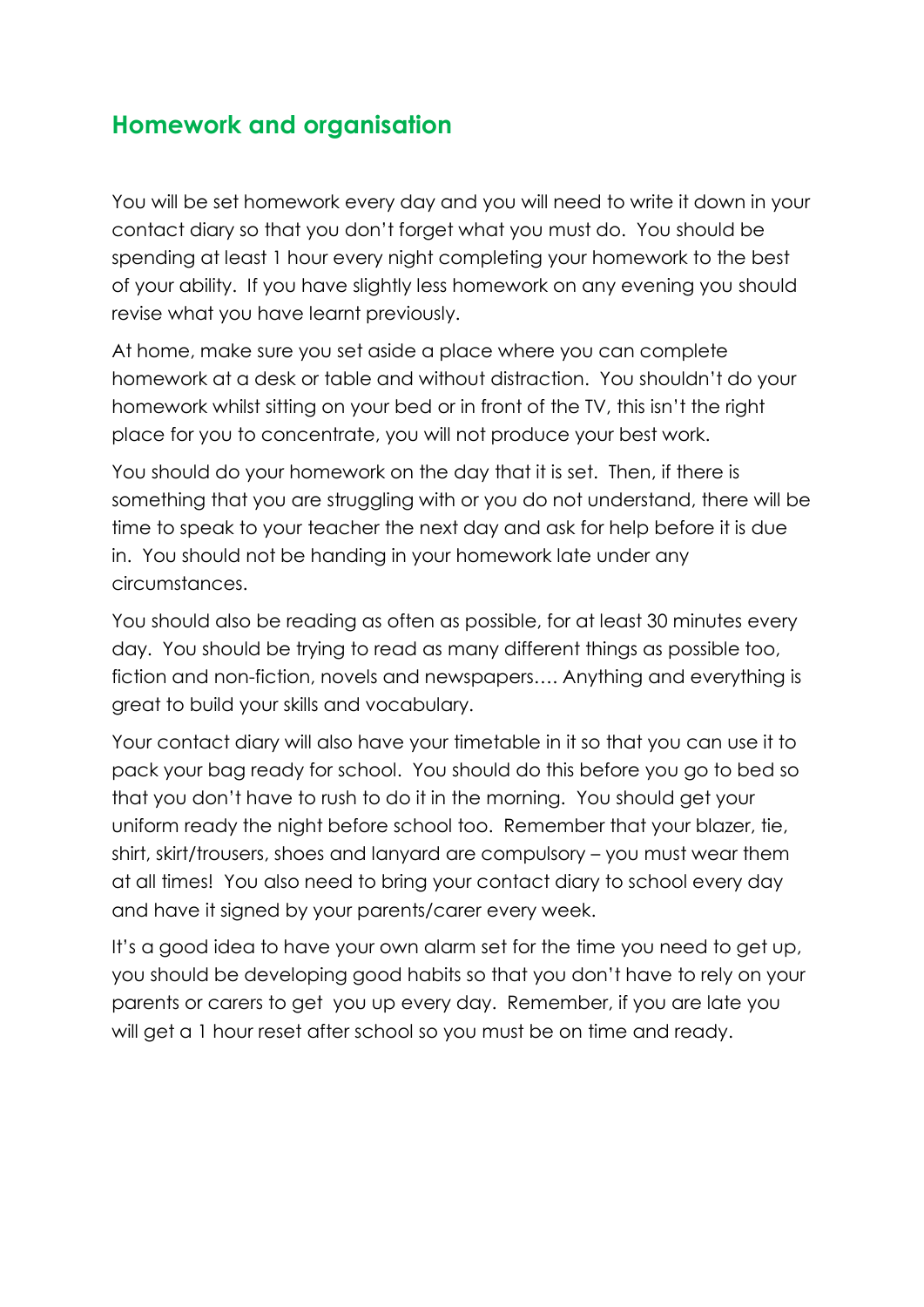## **Homework and organisation**

You will be set homework every day and you will need to write it down in your contact diary so that you don't forget what you must do. You should be spending at least 1 hour every night completing your homework to the best of your ability. If you have slightly less homework on any evening you should revise what you have learnt previously.

At home, make sure you set aside a place where you can complete homework at a desk or table and without distraction. You shouldn't do your homework whilst sitting on your bed or in front of the TV, this isn't the right place for you to concentrate, you will not produce your best work.

You should do your homework on the day that it is set. Then, if there is something that you are struggling with or you do not understand, there will be time to speak to your teacher the next day and ask for help before it is due in. You should not be handing in your homework late under any circumstances.

You should also be reading as often as possible, for at least 30 minutes every day. You should be trying to read as many different things as possible too, fiction and non-fiction, novels and newspapers…. Anything and everything is great to build your skills and vocabulary.

Your contact diary will also have your timetable in it so that you can use it to pack your bag ready for school. You should do this before you go to bed so that you don't have to rush to do it in the morning. You should get your uniform ready the night before school too. Remember that your blazer, tie, shirt, skirt/trousers, shoes and lanyard are compulsory – you must wear them at all times! You also need to bring your contact diary to school every day and have it signed by your parents/carer every week.

It's a good idea to have your own alarm set for the time you need to get up, you should be developing good habits so that you don't have to rely on your parents or carers to get you up every day. Remember, if you are late you will get a 1 hour reset after school so you must be on time and ready.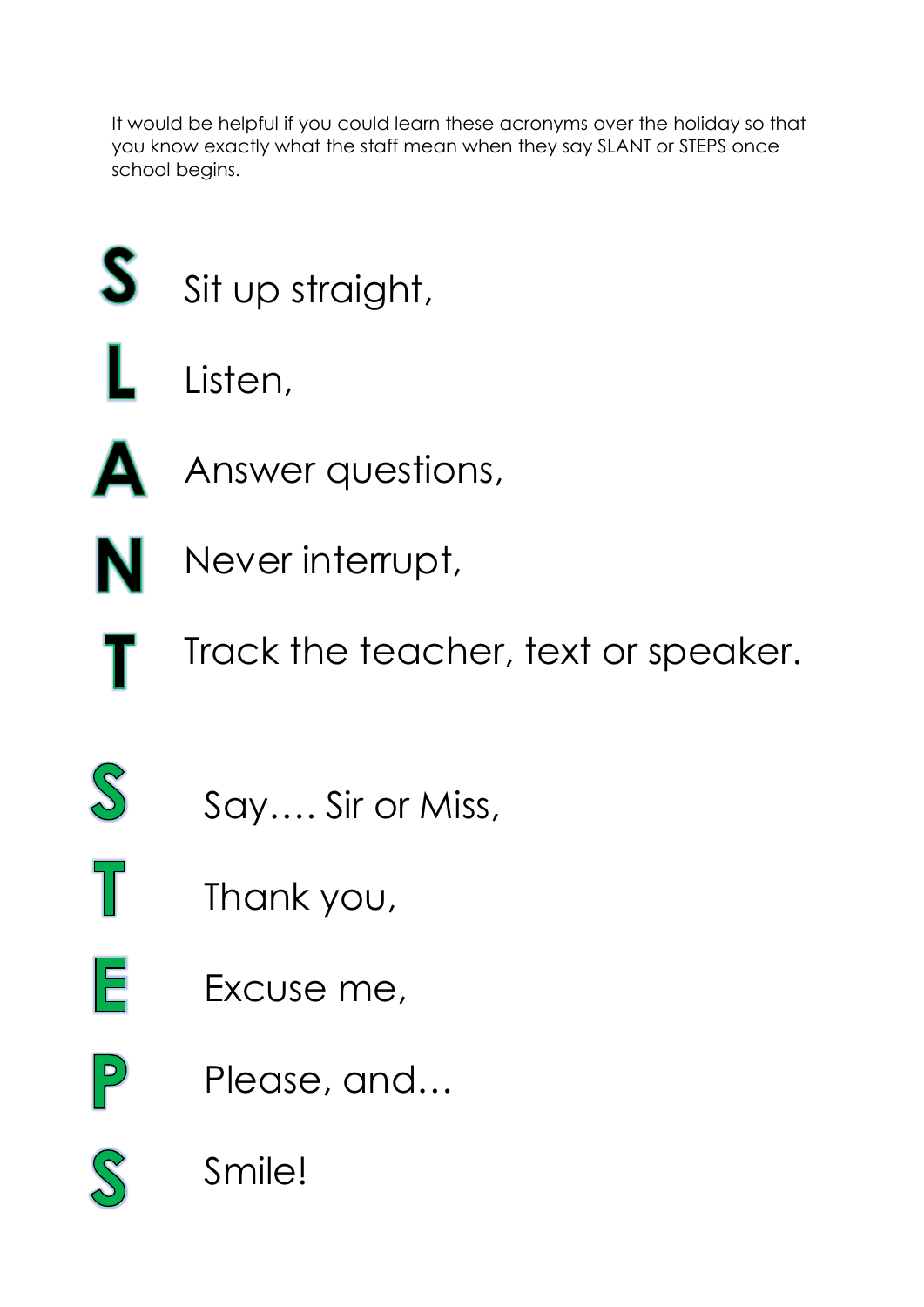It would be helpful if you could learn these acronyms over the holiday so that you know exactly what the staff mean when they say SLANT or STEPS once school begins.

- S Sit up straight,
	- Listen,
		- Answer questions,
- Never interrupt, N
	- Track the teacher, text or speaker.
- $\Im$

T

E

 $\vert P \vert$ 

 $\Delta$ 

- Say…. Sir or Miss,
- Thank you,
- Excuse me,
- Please, and…
- Smile!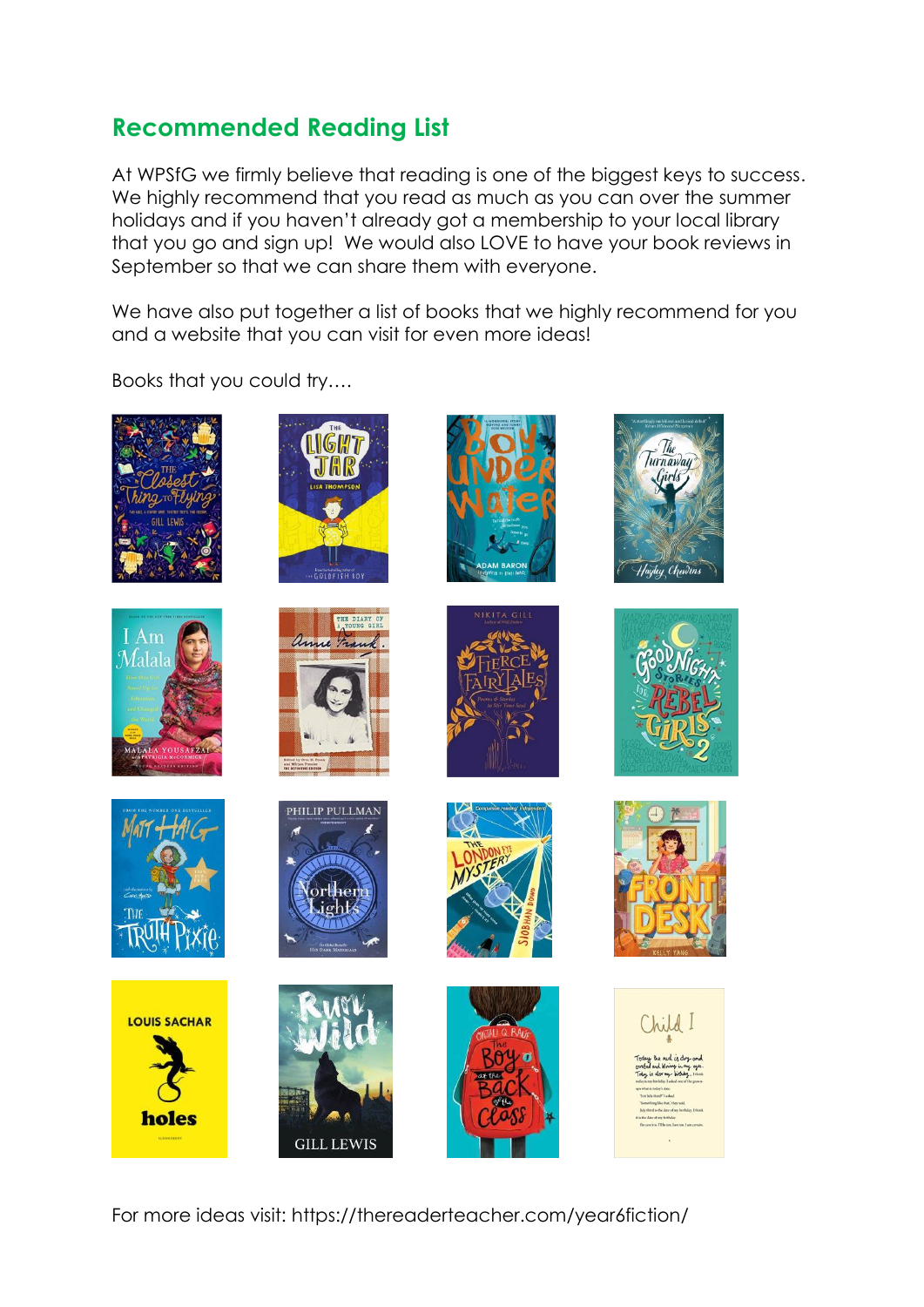## **Recommended Reading List**

At WPSfG we firmly believe that reading is one of the biggest keys to success. We highly recommend that you read as much as you can over the summer holidays and if you haven't already got a membership to your local library that you go and sign up! We would also LOVE to have your book reviews in September so that we can share them with everyone.

We have also put together a list of books that we highly recommend for you and a website that you can visit for even more ideas!

Books that you could try….

















THE DIARY OF













For more ideas visit: https://thereaderteacher.com/year6fiction/